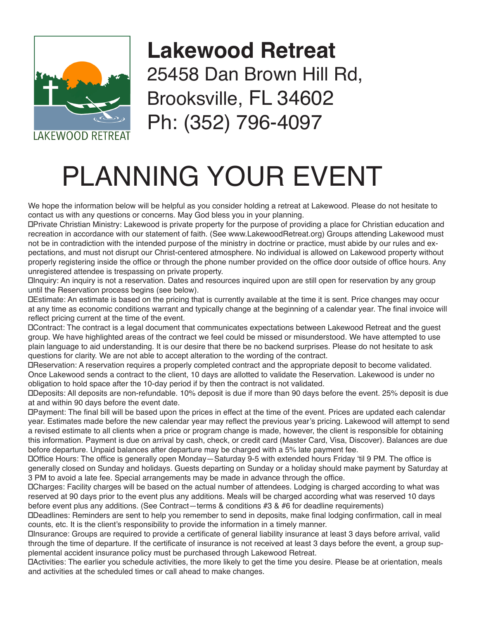

## **Lakewood Retreat**  25458 Dan Brown Hill Rd, Brooksville, FL 34602 Ph: (352) 796-4097

## PLANNING YOUR EVENT

We hope the information below will be helpful as you consider holding a retreat at Lakewood. Please do not hesitate to contact us with any questions or concerns. May God bless you in your planning.

►Private Christian Ministry: Lakewood is private property for the purpose of providing a place for Christian education and recreation in accordance with our statement of faith. (See www.LakewoodRetreat.org) Groups attending Lakewood must not be in contradiction with the intended purpose of the ministry in doctrine or practice, must abide by our rules and expectations, and must not disrupt our Christ-centered atmosphere. No individual is allowed on Lakewood property without properly registering inside the office or through the phone number provided on the office door outside of office hours. Any unregistered attendee is trespassing on private property.

►Inquiry: An inquiry is not a reservation. Dates and resources inquired upon are still open for reservation by any group until the Reservation process begins (see below).

►Estimate: An estimate is based on the pricing that is currently available at the time it is sent. Price changes may occur at any time as economic conditions warrant and typically change at the beginning of a calendar year. The final invoice will reflect pricing current at the time of the event.

►Contract: The contract is a legal document that communicates expectations between Lakewood Retreat and the guest group. We have highlighted areas of the contract we feel could be missed or misunderstood. We have attempted to use plain language to aid understanding. It is our desire that there be no backend surprises. Please do not hesitate to ask questions for clarity. We are not able to accept alteration to the wording of the contract.

►Reservation: A reservation requires a properly completed contract and the appropriate deposit to become validated. Once Lakewood sends a contract to the client, 10 days are allotted to validate the Reservation. Lakewood is under no obligation to hold space after the 10-day period if by then the contract is not validated.

►Deposits: All deposits are non-refundable. 10% deposit is due if more than 90 days before the event. 25% deposit is due at and within 90 days before the event date.

►Payment: The final bill will be based upon the prices in effect at the time of the event. Prices are updated each calendar year. Estimates made before the new calendar year may reflect the previous year's pricing. Lakewood will attempt to send a revised estimate to all clients when a price or program change is made, however, the client is responsible for obtaining this information. Payment is due on arrival by cash, check, or credit card (Master Card, Visa, Discover). Balances are due before departure. Unpaid balances after departure may be charged with a 5% late payment fee.

►Office Hours: The office is generally open Monday—Saturday 9-5 with extended hours Friday 'til 9 PM. The office is generally closed on Sunday and holidays. Guests departing on Sunday or a holiday should make payment by Saturday at 3 PM to avoid a late fee. Special arrangements may be made in advance through the office.

►Charges: Facility charges will be based on the actual number of attendees. Lodging is charged according to what was reserved at 90 days prior to the event plus any additions. Meals will be charged according what was reserved 10 days before event plus any additions. (See Contract—terms & conditions #3 & #6 for deadline requirements)

►Deadlines: Reminders are sent to help you remember to send in deposits, make final lodging confirmation, call in meal counts, etc. It is the client's responsibility to provide the information in a timely manner.

►Insurance: Groups are required to provide a certificate of general liability insurance at least 3 days before arrival, valid through the time of departure. If the certificate of insurance is not received at least 3 days before the event, a group supplemental accident insurance policy must be purchased through Lakewood Retreat.

►Activities: The earlier you schedule activities, the more likely to get the time you desire. Please be at orientation, meals and activities at the scheduled times or call ahead to make changes.